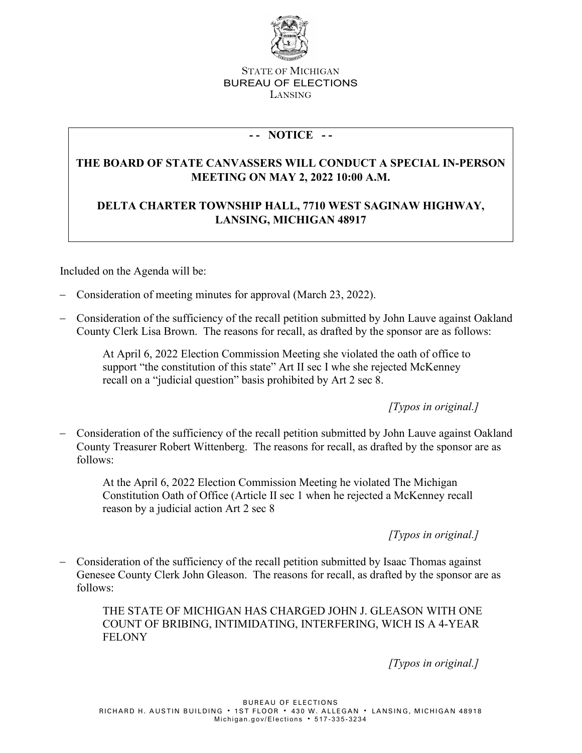

## STATE OF MICHIGAN BUREAU OF ELECTIONS LANSING

## **- - NOTICE - -**

## **THE BOARD OF STATE CANVASSERS WILL CONDUCT A SPECIAL IN-PERSON MEETING ON MAY 2, 2022 10:00 A.M.**

## **DELTA CHARTER TOWNSHIP HALL, 7710 WEST SAGINAW HIGHWAY, LANSING, MICHIGAN 48917**

Included on the Agenda will be:

- − Consideration of meeting minutes for approval (March 23, 2022).
- − Consideration of the sufficiency of the recall petition submitted by John Lauve against Oakland County Clerk Lisa Brown. The reasons for recall, as drafted by the sponsor are as follows:

At April 6, 2022 Election Commission Meeting she violated the oath of office to support "the constitution of this state" Art II sec I whe she rejected McKenney recall on a "judicial question" basis prohibited by Art 2 sec 8.

*[Typos in original.]*

− Consideration of the sufficiency of the recall petition submitted by John Lauve against Oakland County Treasurer Robert Wittenberg. The reasons for recall, as drafted by the sponsor are as follows:

At the April 6, 2022 Election Commission Meeting he violated The Michigan Constitution Oath of Office (Article II sec 1 when he rejected a McKenney recall reason by a judicial action Art 2 sec 8

*[Typos in original.]*

Consideration of the sufficiency of the recall petition submitted by Isaac Thomas against Genesee County Clerk John Gleason. The reasons for recall, as drafted by the sponsor are as follows:

THE STATE OF MICHIGAN HAS CHARGED JOHN J. GLEASON WITH ONE COUNT OF BRIBING, INTIMIDATING, INTERFERING, WICH IS A 4-YEAR FELONY

*[Typos in original.]*